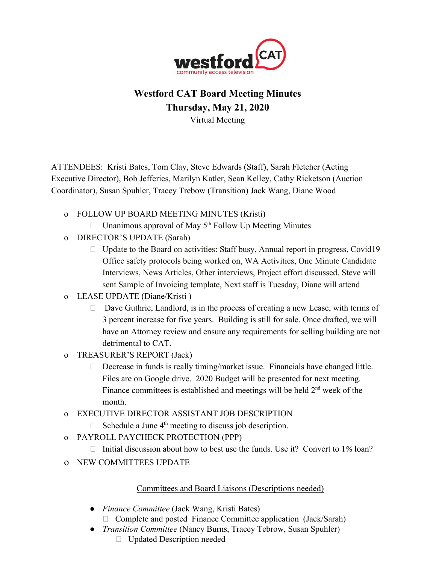

## **Westford CAT Board Meeting Minutes Thursday, May 21, 2020** Virtual Meeting

ATTENDEES: Kristi Bates, Tom Clay, Steve Edwards (Staff), Sarah Fletcher (Acting Executive Director), Bob Jefferies, Marilyn Katler, Sean Kelley, Cathy Ricketson (Auction Coordinator), Susan Spuhler, Tracey Trebow (Transition) Jack Wang, Diane Wood

- o FOLLOW UP BOARD MEETING MINUTES (Kristi)
	- $\Box$  Unanimous approval of May 5<sup>th</sup> Follow Up Meeting Minutes
- o DIRECTOR'S UPDATE (Sarah)
	- $\Box$  Update to the Board on activities: Staff busy, Annual report in progress, Covid19 Office safety protocols being worked on, WA Activities, One Minute Candidate Interviews, News Articles, Other interviews, Project effort discussed. Steve will sent Sample of Invoicing template, Next staff is Tuesday, Diane will attend
- o LEASE UPDATE (Diane/Kristi )
	- □ Dave Guthrie, Landlord, is in the process of creating a new Lease, with terms of 3 percent increase for five years. Building is still for sale. Once drafted, we will have an Attorney review and ensure any requirements for selling building are not detrimental to CAT.
- o TREASURER'S REPORT (Jack)
	- $\Box$  Decrease in funds is really timing/market issue. Financials have changed little. Files are on Google drive. 2020 Budget will be presented for next meeting. Finance committees is established and meetings will be held  $2<sup>nd</sup>$  week of the month.
- o EXECUTIVE DIRECTOR ASSISTANT JOB DESCRIPTION
	- $\Box$  Schedule a June 4<sup>th</sup> meeting to discuss job description.
- o PAYROLL PAYCHECK PROTECTION (PPP)
	- Initial discussion about how to best use the funds. Use it? Convert to  $1\%$  loan?
- o NEW COMMITTEES UPDATE

## Committees and Board Liaisons (Descriptions needed)

- *Finance Committee* (Jack Wang, Kristi Bates)
	- $\Box$  Complete and posted Finance Committee application (Jack/Sarah)
- *Transition Committee* (Nancy Burns, Tracey Tebrow, Susan Spuhler)
	- Updated Description needed